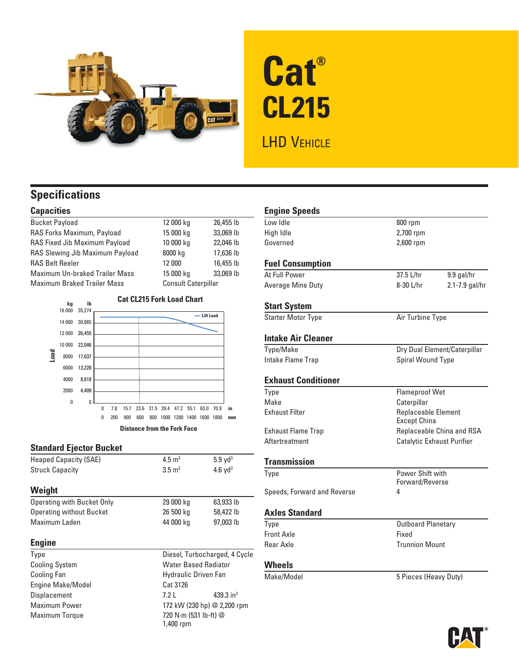

# **Cat® CL215** LHD VEHICLE

## **Specifications**

## **Capacities**

| <b>Bucket Payload</b>              | 12 000 kg                  | 26,455 lb |
|------------------------------------|----------------------------|-----------|
| RAS Forks Maximum, Payload         | 15 000 kg                  | 33,069 lb |
| RAS Fixed Jib Maximum Payload      | 10 000 kg                  | 22,046 lb |
| RAS Slewing Jib Maximum Payload    | 8000 kg                    | 17,636 lb |
| <b>RAS Belt Reeler</b>             | 12 000                     | 16,455 lb |
| Maximum Un-braked Trailer Mass     | 15 000 kg                  | 33,069 lb |
| <b>Maximum Braked Trailer Mass</b> | <b>Consult Caterpillar</b> |           |



**Distance from the Fork Face**

## **Standard Ejector Bucket**

| <b>Heaped Capacity (SAE)</b>    | $4.5 \text{ m}^3$ | $5.9$ yd <sup>3</sup> |
|---------------------------------|-------------------|-----------------------|
| <b>Struck Capacity</b>          | $3.5 \text{ m}^3$ | 4.6 $yd^3$            |
| Weight                          |                   |                       |
| Operating with Bucket Only      | 29 000 kg         | 63,933 lb             |
| <b>Operating without Bucket</b> | 26 500 kg         | 58,422 lb             |
| Maximum Laden                   | 44 000 kg         | 97,003 lb             |
|                                 |                   |                       |

## **Engine**

Engine Make/Model Cat 3126

Type Diesel, Turbocharged, 4 Cycle Cooling System Water Based Radiator Cooling Fan **Hydraulic Driven Fan** Displacement 7.2 L 439.3 in<sup>3</sup> Maximum Power 172 kW (230 hp) @ 2,200 rpm Maximum Torque 720 N·m (531 lb-ft) @ 1,400 rpm

| <b>Engine Speeds</b><br>albl wo l | 800 rpm               |                                                   |  |
|-----------------------------------|-----------------------|---------------------------------------------------|--|
| Hiah Idle                         | 2,700 rpm             |                                                   |  |
| Governed                          | 2,600 rpm             |                                                   |  |
|                                   |                       |                                                   |  |
| <b>Fuel Consumption</b>           |                       |                                                   |  |
| At Full Power                     | 37.5 L/hr             | 9.9 gal/hr                                        |  |
| <b>Average Mine Duty</b>          | 8-30 L/hr             | 2.1-7.9 gal/hr                                    |  |
| <b>Start System</b>               |                       |                                                   |  |
| <b>Starter Motor Type</b>         |                       | Air Turbine Type                                  |  |
| <b>Intake Air Cleaner</b>         |                       |                                                   |  |
| <b>Type/Make</b>                  |                       | Dry Dual Element/Caterpillar                      |  |
| Intake Flame Trap                 |                       | Spiral Wound Type                                 |  |
| <b>Exhaust Conditioner</b>        |                       |                                                   |  |
| Type                              |                       | <b>Flameproof Wet</b>                             |  |
| Make                              | Caterpillar           |                                                   |  |
| <b>Exhaust Filter</b>             |                       | <b>Replaceable Element</b><br><b>Except China</b> |  |
| <b>Exhaust Flame Trap</b>         |                       | Replaceable China and RSA                         |  |
| Aftertreatment                    |                       | Catalytic Exhaust Purifier                        |  |
| <b>Transmission</b>               |                       |                                                   |  |
| Type                              |                       | Power Shift with<br>Forward/Reverse               |  |
| Speeds, Forward and Reverse       | 4                     |                                                   |  |
| <b>Axles Standard</b>             |                       |                                                   |  |
| Type                              |                       | <b>Outboard Planetary</b>                         |  |
| <b>Front Axle</b>                 | Fixed                 |                                                   |  |
| <b>Rear Axle</b>                  |                       | <b>Trunnion Mount</b>                             |  |
| Wheels                            |                       |                                                   |  |
| Make/Model                        | 5 Pieces (Heavy Duty) |                                                   |  |

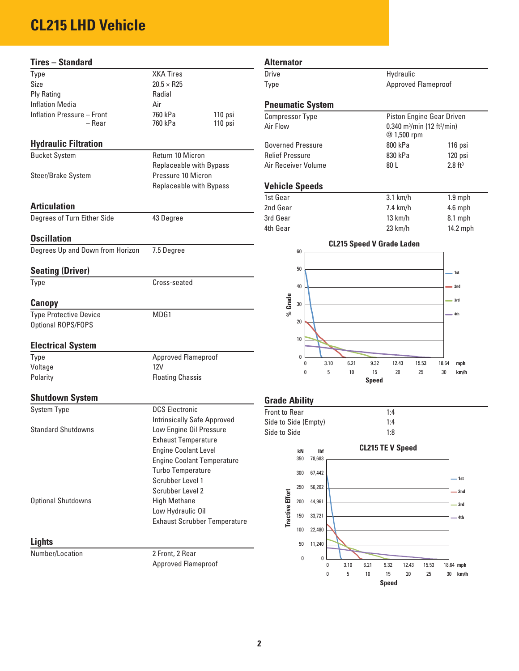## **CL215 LHD Vehicle**

| <b>Tires - Standard</b>          |                                               | <b>Alternator</b>                                              |                                                     |
|----------------------------------|-----------------------------------------------|----------------------------------------------------------------|-----------------------------------------------------|
| Type                             | <b>XKA Tires</b>                              | <b>Drive</b><br>Hydraulic                                      |                                                     |
| Size                             | $20.5 \times R25$                             | Type                                                           | Approved Flameproof                                 |
| <b>Ply Rating</b>                | Radial                                        |                                                                |                                                     |
| <b>Inflation Media</b>           | Air                                           | <b>Pneumatic System</b>                                        |                                                     |
| Inflation Pressure - Front       | 760 kPa<br>110 psi                            | <b>Compressor Type</b>                                         | Piston Engine Gear Driven                           |
| – Rear                           | 760 kPa<br>110 psi                            | Air Flow<br>@ 1,500 rpm                                        | 0.340 m <sup>3</sup> /min (12 ft <sup>3</sup> /min) |
| <b>Hydraulic Filtration</b>      |                                               | <b>Governed Pressure</b><br>800 kPa                            | 116 ps                                              |
| <b>Bucket System</b>             | Return 10 Micron                              | <b>Relief Pressure</b><br>830 kPa                              | 120 ps                                              |
| Steer/Brake System               | Replaceable with Bypass<br>Pressure 10 Micron | 80L<br>Air Receiver Volume                                     | $2.8 \text{ ft}^3$                                  |
|                                  | Replaceable with Bypass                       | <b>Vehicle Speeds</b>                                          |                                                     |
|                                  |                                               | 1st Gear<br>$3.1$ km/h                                         | $1.9$ mp                                            |
| <b>Articulation</b>              |                                               | 2nd Gear<br>7.4 km/h                                           | 4.6 mp                                              |
| Degrees of Turn Either Side      | 43 Degree                                     | 3rd Gear<br>13 km/h                                            | 8.1 mp                                              |
|                                  |                                               | 4th Gear<br>23 km/h                                            | 14.2 m                                              |
| <b>Oscillation</b>               |                                               |                                                                |                                                     |
| Degrees Up and Down from Horizon | 7.5 Degree                                    | <b>CL215 Speed V Grade Laden</b><br>60                         |                                                     |
| <b>Seating (Driver)</b>          |                                               | 50                                                             | $-1st$                                              |
| Type                             | Cross-seated                                  | 40                                                             | $-2nd$                                              |
| Canopy                           |                                               | %Grade<br>$30\,$                                               | $-3rd$                                              |
| <b>Type Protective Device</b>    | MDG1                                          |                                                                | $= 4th$                                             |
| Optional ROPS/FOPS               |                                               | 20                                                             |                                                     |
|                                  |                                               | $10$                                                           |                                                     |
| <b>Electrical System</b>         |                                               |                                                                |                                                     |
| Type                             | Approved Flameproof                           | 0                                                              |                                                     |
| Voltage                          | <b>12V</b>                                    | 3.10<br>6.21<br>9.32<br>12.43<br>0<br>15<br>5<br>10<br>0<br>20 | 15.53<br>18.64<br>mph<br>25<br>30<br>km/h           |
| Polarity                         | <b>Floating Chassis</b>                       | <b>Speed</b>                                                   |                                                     |
| <b>Shutdown System</b>           |                                               | <b>Grade Ability</b>                                           |                                                     |
| <b>System Type</b>               | <b>DCS Electronic</b>                         | Front to Rear<br>1:4                                           |                                                     |
|                                  | <b>Intrinsically Safe Approved</b>            | Side to Side (Empty)<br>1:4                                    |                                                     |
| <b>Standard Shutdowns</b>        | Low Engine Oil Pressure                       | Side to Side<br>1:8                                            |                                                     |
|                                  | <b>Exhaust Temperature</b>                    |                                                                |                                                     |
|                                  | <b>Engine Coolant Level</b>                   | <b>CL215 TE V Speed</b><br>kN<br>lbf                           |                                                     |
|                                  | <b>Engine Coolant Temperature</b>             | 78,683<br>350                                                  |                                                     |
|                                  | <b>Turbo Temperature</b>                      | 300<br>67,442                                                  |                                                     |
|                                  | Scrubber Level 1                              |                                                                | $-1st$                                              |
|                                  | Scrubber Level 2                              | 250<br>56,202                                                  | $-2nd$                                              |
| <b>Optional Shutdowns</b>        | <b>High Methane</b>                           | <b>Tractive Effort</b><br>200<br>44,961                        | $-3rd$                                              |
|                                  | Low Hydraulic Oil                             | 150<br>33,721                                                  | — 4th                                               |
|                                  | <b>Exhaust Scrubber Temperature</b>           |                                                                |                                                     |
|                                  |                                               | 100<br>22,480                                                  |                                                     |

#### **Lights**

Number/Location 2 Front, 2 Rear

Approved Flameproof

## Hydraulic Approved Flameproof **Pneumatic System** Piston Engine Gear Driven Air Flow **0.340** m<sup>3</sup>/min (12 ft<sup>3</sup>/min) @ 1,500 rpm e 800 kPa 116 psi 830 kPa 120 psi Air Receiver Volume  $30 L$   $2.8$  ft $^3$ **Vehicle Speeds** 3.1 km/h 1.9 mph 7.4 km/h 4.6 mph 13 km/h 8.1 mph 23 km/h 14.2 mph 0 3.10 6.21 9.32 12.43 15.53 18.64 **mph CL215 Speed V Grade Laden 1st 2nd 3rd 4th**

**2**

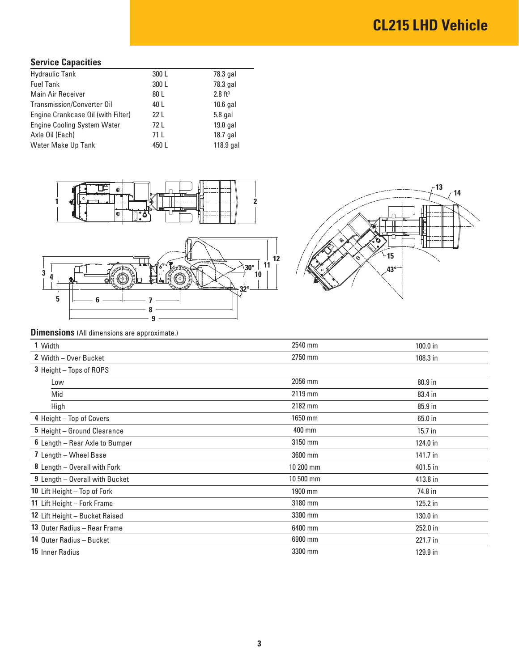# **CL215 LHD Vehicle**

## **Service Capacities**

| <b>Hydraulic Tank</b>              | 300 L           | 78.3 gal           |
|------------------------------------|-----------------|--------------------|
| <b>Fuel Tank</b>                   | 300L            | 78.3 gal           |
| Main Air Receiver                  | 80 L            | $2.8 \text{ ft}^3$ |
| Transmission/Converter Oil         | 40 L            | $10.6$ gal         |
| Engine Crankcase Oil (with Filter) | 22 <sub>L</sub> | $5.8$ gal          |
| <b>Engine Cooling System Water</b> | 72 L            | $19.0$ gal         |
| Axle Oil (Each)                    | 71 L            | $18.7$ gal         |
| Water Make Up Tank                 | 450L            | 118.9 gal          |
|                                    |                 |                    |







## **Dimensions** (All dimensions are approximate.)

| L. L.                           |           |          |
|---------------------------------|-----------|----------|
| 1 Width                         | 2540 mm   | 100.0 in |
| 2 Width - Over Bucket           | 2750 mm   | 108.3 in |
| 3 Height - Tops of ROPS         |           |          |
| Low                             | 2056 mm   | 80.9 in  |
| Mid                             | 2119 mm   | 83.4 in  |
| High                            | 2182 mm   | 85.9 in  |
| 4 Height - Top of Covers        | 1650 mm   | 65.0 in  |
| 5 Height - Ground Clearance     | 400 mm    | 15.7 in  |
| 6 Length - Rear Axle to Bumper  | 3150 mm   | 124.0 in |
| 7 Length - Wheel Base           | 3600 mm   | 141.7 in |
| 8 Length - Overall with Fork    | 10 200 mm | 401.5 in |
| 9 Length - Overall with Bucket  | 10 500 mm | 413.8 in |
| 10 Lift Height - Top of Fork    | 1900 mm   | 74.8 in  |
| 11 Lift Height - Fork Frame     | 3180 mm   | 125.2 in |
| 12 Lift Height - Bucket Raised  | 3300 mm   | 130.0 in |
| 13 Outer Radius - Rear Frame    | 6400 mm   | 252.0 in |
| <b>14 Outer Radius - Bucket</b> | 6900 mm   | 221.7 in |
| 15 Inner Radius                 | 3300 mm   | 129.9 in |